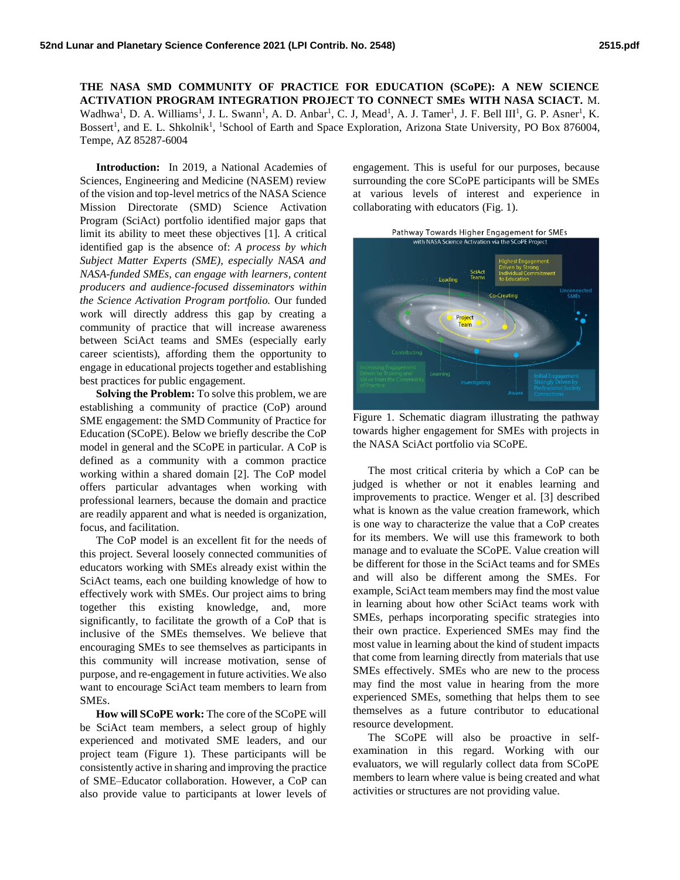**THE NASA SMD COMMUNITY OF PRACTICE FOR EDUCATION (SCoPE): A NEW SCIENCE ACTIVATION PROGRAM INTEGRATION PROJECT TO CONNECT SMEs WITH NASA SCIACT.** M. Wadhwa<sup>1</sup>, D. A. Williams<sup>1</sup>, J. L. Swann<sup>1</sup>, A. D. Anbar<sup>1</sup>, C. J, Mead<sup>1</sup>, A. J. Tamer<sup>1</sup>, J. F. Bell III<sup>1</sup>, G. P. Asner<sup>1</sup>, K. Bossert<sup>1</sup>, and E. L. Shkolnik<sup>1</sup>, <sup>1</sup>School of Earth and Space Exploration, Arizona State University, PO Box 876004, Tempe, AZ 85287-6004

**Introduction:** In 2019, a National Academies of Sciences, Engineering and Medicine (NASEM) review of the vision and top-level metrics of the NASA Science Mission Directorate (SMD) Science Activation Program (SciAct) portfolio identified major gaps that limit its ability to meet these objectives [1]. A critical identified gap is the absence of: *A process by which Subject Matter Experts (SME), especially NASA and NASA-funded SMEs, can engage with learners, content producers and audience-focused disseminators within the Science Activation Program portfolio.* Our funded work will directly address this gap by creating a community of practice that will increase awareness between SciAct teams and SMEs (especially early career scientists), affording them the opportunity to engage in educational projects together and establishing best practices for public engagement.

**Solving the Problem:** To solve this problem, we are establishing a community of practice (CoP) around SME engagement: the SMD Community of Practice for Education (SCoPE). Below we briefly describe the CoP model in general and the SCoPE in particular. A CoP is defined as a community with a common practice working within a shared domain [2]. The CoP model offers particular advantages when working with professional learners, because the domain and practice are readily apparent and what is needed is organization, focus, and facilitation.

The CoP model is an excellent fit for the needs of this project. Several loosely connected communities of educators working with SMEs already exist within the SciAct teams, each one building knowledge of how to effectively work with SMEs. Our project aims to bring together this existing knowledge, and, more significantly, to facilitate the growth of a CoP that is inclusive of the SMEs themselves. We believe that encouraging SMEs to see themselves as participants in this community will increase motivation, sense of purpose, and re-engagement in future activities. We also want to encourage SciAct team members to learn from SMEs.

**How will SCoPE work:** The core of the SCoPE will be SciAct team members, a select group of highly experienced and motivated SME leaders, and our project team (Figure 1). These participants will be consistently active in sharing and improving the practice of SME–Educator collaboration. However, a CoP can also provide value to participants at lower levels of

engagement. This is useful for our purposes, because surrounding the core SCoPE participants will be SMEs at various levels of interest and experience in collaborating with educators (Fig. 1).



Figure 1. Schematic diagram illustrating the pathway towards higher engagement for SMEs with projects in the NASA SciAct portfolio via SCoPE.

The most critical criteria by which a CoP can be judged is whether or not it enables learning and improvements to practice. Wenger et al. [3] described what is known as the value creation framework, which is one way to characterize the value that a CoP creates for its members. We will use this framework to both manage and to evaluate the SCoPE. Value creation will be different for those in the SciAct teams and for SMEs and will also be different among the SMEs. For example, SciAct team members may find the most value in learning about how other SciAct teams work with SMEs, perhaps incorporating specific strategies into their own practice. Experienced SMEs may find the most value in learning about the kind of student impacts that come from learning directly from materials that use SMEs effectively. SMEs who are new to the process may find the most value in hearing from the more experienced SMEs, something that helps them to see themselves as a future contributor to educational resource development.

The SCoPE will also be proactive in selfexamination in this regard. Working with our evaluators, we will regularly collect data from SCoPE members to learn where value is being created and what activities or structures are not providing value.